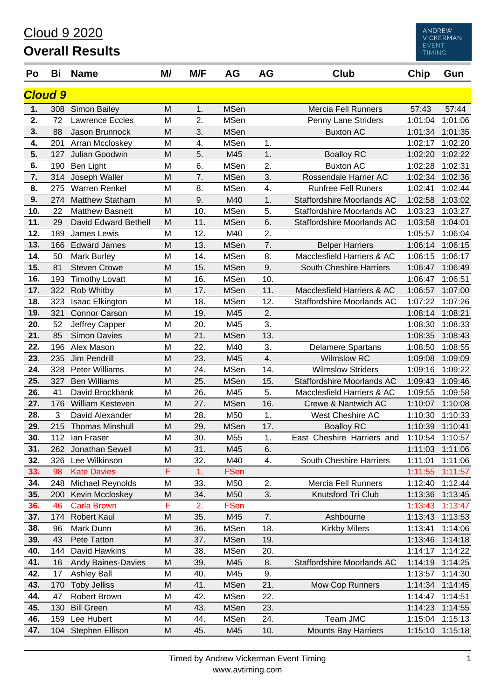### Cloud 9 2020

## **Overall Results**

| Po  | Bi             | <b>Name</b>               | M/ | M/F | AG          | AG  | <b>Club</b>                       | Chip    | Gun             |  |  |  |
|-----|----------------|---------------------------|----|-----|-------------|-----|-----------------------------------|---------|-----------------|--|--|--|
|     | <b>Cloud 9</b> |                           |    |     |             |     |                                   |         |                 |  |  |  |
| 1.  |                | 308 Simon Bailey          | M  | 1.  | <b>MSen</b> |     | <b>Mercia Fell Runners</b>        | 57:43   | 57:44           |  |  |  |
| 2.  | 72             | <b>Lawrence Eccles</b>    | M  | 2.  | <b>MSen</b> |     | Penny Lane Striders               | 1:01:04 | 1:01:06         |  |  |  |
| 3.  | 88             | Jason Brunnock            | M  | 3.  | <b>MSen</b> |     | <b>Buxton AC</b>                  | 1:01:34 | 1:01:35         |  |  |  |
| 4.  | 201            | Arran Mccloskey           | M  | 4.  | <b>MSen</b> | 1.  |                                   | 1:02:17 | 1:02:20         |  |  |  |
| 5.  | 127            | Julian Goodwin            | M  | 5.  | M45         | 1.  | <b>Boalloy RC</b>                 | 1:02:20 | 1:02:22         |  |  |  |
| 6.  | 190            | Ben Light                 | M  | 6.  | <b>MSen</b> | 2.  | <b>Buxton AC</b>                  | 1:02:28 | 1:02:31         |  |  |  |
| 7.  | 314            | Joseph Waller             | M  | 7.  | <b>MSen</b> | 3.  | Rossendale Harrier AC             | 1:02:34 | 1:02:36         |  |  |  |
| 8.  | 275            | <b>Warren Renkel</b>      | M  | 8.  | <b>MSen</b> | 4.  | <b>Runfree Fell Runers</b>        | 1:02:41 | 1:02:44         |  |  |  |
| 9.  | 274            | Matthew Statham           | M  | 9.  | M40         | 1.  | Staffordshire Moorlands AC        | 1:02:58 | 1:03:02         |  |  |  |
| 10. | 22             | <b>Matthew Basnett</b>    | M  | 10. | <b>MSen</b> | 5.  | Staffordshire Moorlands AC        | 1:03:23 | 1:03:27         |  |  |  |
| 11. | 29             | David Edward Bethell      | M  | 11. | <b>MSen</b> | 6.  | <b>Staffordshire Moorlands AC</b> | 1:03:58 | 1:04:01         |  |  |  |
| 12. | 189            | James Lewis               | M  | 12. | M40         | 2.  |                                   | 1:05:57 | 1:06:04         |  |  |  |
| 13. | 166            | <b>Edward James</b>       | M  | 13. | <b>MSen</b> | 7.  | <b>Belper Harriers</b>            | 1:06:14 | 1:06:15         |  |  |  |
| 14. | 50             | <b>Mark Burley</b>        | M  | 14. | <b>MSen</b> | 8.  | Macclesfield Harriers & AC        | 1:06:15 | 1:06:17         |  |  |  |
| 15. | 81             | <b>Steven Crowe</b>       | M  | 15. | <b>MSen</b> | 9.  | South Cheshire Harriers           | 1:06:47 | 1:06:49         |  |  |  |
| 16. | 193            | <b>Timothy Lovatt</b>     | M  | 16. | <b>MSen</b> | 10. |                                   | 1:06:47 | 1:06:51         |  |  |  |
| 17. | 322            | Rob Whitby                | M  | 17. | <b>MSen</b> | 11. | Macclesfield Harriers & AC        | 1:06:57 | 1:07:00         |  |  |  |
| 18. | 323            | Isaac Elkington           | M  | 18. | <b>MSen</b> | 12. | Staffordshire Moorlands AC        | 1:07:22 | 1:07:26         |  |  |  |
| 19. | 321            | <b>Connor Carson</b>      | M  | 19. | M45         | 2.  |                                   | 1:08:14 | 1:08:21         |  |  |  |
| 20. | 52             | Jeffrey Capper            | M  | 20. | M45         | 3.  |                                   | 1:08:30 | 1:08:33         |  |  |  |
| 21. | 85             | <b>Simon Davies</b>       | M  | 21. | <b>MSen</b> | 13. |                                   | 1:08:35 | 1:08:43         |  |  |  |
| 22. | 196            | Alex Mason                | M  | 22. | M40         | 3.  | <b>Delamere Spartans</b>          | 1:08:50 | 1:08:55         |  |  |  |
| 23. | 235            | <b>Jim Pendrill</b>       | M  | 23. | M45         | 4.  | <b>Wilmslow RC</b>                | 1:09:08 | 1:09:09         |  |  |  |
| 24. | 328            | <b>Peter Williams</b>     | M  | 24. | <b>MSen</b> | 14. | <b>Wilmslow Striders</b>          | 1:09:16 | 1:09:22         |  |  |  |
| 25. | 327            | <b>Ben Williams</b>       | M  | 25. | <b>MSen</b> | 15. | Staffordshire Moorlands AC        | 1:09:43 | 1:09:46         |  |  |  |
| 26. | 41             | David Brockbank           | M  | 26. | M45         | 5.  | Macclesfield Harriers & AC        | 1:09:55 | 1:09:58         |  |  |  |
| 27. | 176            | William Kesteven          | M  | 27. | <b>MSen</b> | 16. | Crewe & Nantwich AC               | 1:10:07 | 1:10:08         |  |  |  |
| 28. | 3              | David Alexander           | M  | 28. | M50         | 1.  | <b>West Cheshire AC</b>           | 1:10:30 | 1:10:33         |  |  |  |
| 29. | 215            | <b>Thomas Minshull</b>    | M  | 29. | <b>MSen</b> | 17. | <b>Boalloy RC</b>                 | 1:10:39 | 1:10:41         |  |  |  |
| 30. |                | 112 Ian Fraser            | M  | 30. | M55         | 1.  | East Cheshire Harriers and        | 1:10:54 | 1:10:57         |  |  |  |
| 31. |                | 262 Jonathan Sewell       | M  | 31. | M45         | 6.  |                                   |         | 1:11:03 1:11:06 |  |  |  |
| 32. | 326            | Lee Wilkinson             | M  | 32. | M40         | 4.  | South Cheshire Harriers           | 1:11:01 | 1:11:06         |  |  |  |
| 33. | 98             | <b>Kate Davies</b>        | F  | 1.  | <b>FSen</b> |     |                                   | 1:11:55 | 1:11:57         |  |  |  |
| 34. | 248            | Michael Reynolds          | M  | 33. | M50         | 2.  | <b>Mercia Fell Runners</b>        | 1:12:40 | 1:12:44         |  |  |  |
| 35. | 200            | Kevin Mccloskey           | M  | 34. | M50         | 3.  | Knutsford Tri Club                | 1:13:36 | 1:13:45         |  |  |  |
| 36. | 46             | <b>Carla Brown</b>        | F  | 2.  | <b>FSen</b> |     |                                   | 1:13:43 | 1:13:47         |  |  |  |
| 37. | 174            | <b>Robert Kaul</b>        | M  | 35. | M45         | 7.  | Ashbourne                         | 1:13:43 | 1:13:53         |  |  |  |
| 38. | 96             | Mark Dunn                 | M  | 36. | <b>MSen</b> | 18. | <b>Kirkby Milers</b>              | 1:13:41 | 1:14:06         |  |  |  |
| 39. | 43             | Pete Tatton               | M  | 37. | <b>MSen</b> | 19. |                                   | 1:13:46 | 1:14:18         |  |  |  |
| 40. | 144            | David Hawkins             | M  | 38. | <b>MSen</b> | 20. |                                   | 1:14:17 | 1:14:22         |  |  |  |
| 41. | 16             | <b>Andy Baines-Davies</b> | M  | 39. | M45         | 8.  | Staffordshire Moorlands AC        | 1:14:19 | 1:14:25         |  |  |  |
| 42. | 17             | <b>Ashley Ball</b>        | M  | 40. | M45         | 9.  |                                   | 1:13:57 | 1:14:30         |  |  |  |
| 43. | 170            | <b>Toby Jelliss</b>       | M  | 41. | <b>MSen</b> | 21. | Mow Cop Runners                   | 1:14:34 | 1:14:45         |  |  |  |
| 44. | 47             | Robert Brown              | M  | 42. | <b>MSen</b> | 22. |                                   | 1:14:47 | 1:14:51         |  |  |  |
| 45. | 130            | <b>Bill Green</b>         | M  | 43. | <b>MSen</b> | 23. |                                   | 1:14:23 | 1:14:55         |  |  |  |
| 46. | 159            | Lee Hubert                | M  | 44. | <b>MSen</b> | 24. | Team JMC                          | 1:15:04 | 1:15:13         |  |  |  |
| 47. |                | 104 Stephen Ellison       | M  | 45. | M45         | 10. | <b>Mounts Bay Harriers</b>        | 1:15:10 | 1:15:18         |  |  |  |

ANDREW<br>VICKERMAN<br>EVENT<br>TIMING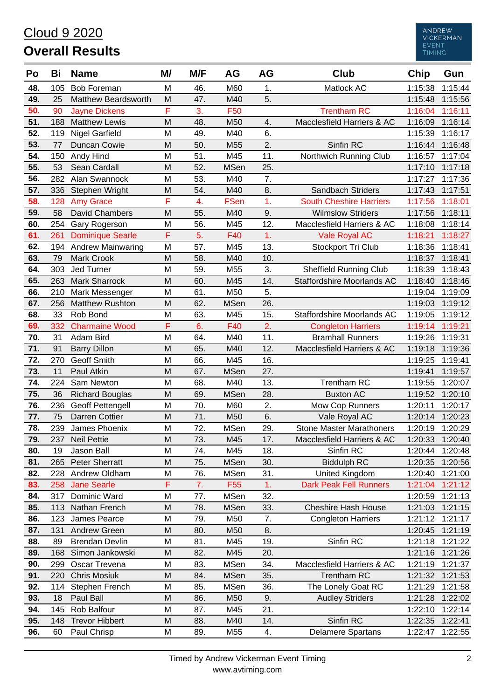## Cloud 9 2020 **Overall Results**

| Po         | Bi         | <b>Name</b>                         | M/     | M/F       | AG                             | AG        | <b>Club</b>                                     | <b>Chip</b>        | Gun                |
|------------|------------|-------------------------------------|--------|-----------|--------------------------------|-----------|-------------------------------------------------|--------------------|--------------------|
| 48.        | 105        | <b>Bob Foreman</b>                  | M      | 46.       | M60                            | 1.        | Matlock AC                                      | 1:15:38            | 1:15:44            |
| 49.        | 25         | Matthew Beardsworth                 | M      | 47.       | M40                            | 5.        |                                                 | 1:15:48            | 1:15:56            |
| 50.        | 90         | <b>Jayne Dickens</b>                | F      | 3.        | F50                            |           | <b>Trentham RC</b>                              | 1:16:04            | 1:16:11            |
| 51.        | 188        | <b>Matthew Lewis</b>                | M      | 48.       | M50                            | 4.        | Macclesfield Harriers & AC                      | 1:16:09            | 1:16:14            |
| 52.        | 119        | <b>Nigel Garfield</b>               | M      | 49.       | M40                            | 6.        |                                                 | 1:15:39            | 1:16:17            |
| 53.        | 77         | Duncan Cowie                        | M      | 50.       | M <sub>55</sub>                | 2.        | Sinfin RC                                       | 1:16:44            | 1:16:48            |
| 54.        | 150        | Andy Hind                           | M      | 51.       | M45                            | 11.       | Northwich Running Club                          | 1:16:57            | 1:17:04            |
| 55.        | 53         | Sean Cardall                        | M      | 52.       | <b>MSen</b>                    | 25.       |                                                 | 1:17:10            | 1:17:18            |
| 56.        | 282        | Alan Swannock                       | M      | 53.       | M40                            | 7.        |                                                 | 1:17:27            | 1:17:36            |
| 57.        | 336        | Stephen Wright                      | M      | 54.       | M40                            | 8.        | Sandbach Striders                               | 1:17:43            | 1:17:51            |
| 58.        | 128        | <b>Amy Grace</b>                    | F      | 4.        | <b>FSen</b>                    | 1.        | <b>South Cheshire Harriers</b>                  | 1:17:56            | 1:18:01            |
| 59.        | 58         | David Chambers                      | M      | 55.       | M40                            | 9.        | <b>Wilmslow Striders</b>                        | 1:17:56            | 1:18:11            |
| 60.        | 254        | Gary Rogerson                       | M      | 56.       | M45                            | 12.       | Macclesfield Harriers & AC                      | 1:18:08            | 1:18:14            |
| 61.        | 261        | <b>Dominique Searle</b>             | F      | 5.        | F40                            | 1.        | <b>Vale Royal AC</b>                            | 1:18:21            | 1:18:27            |
| 62.        | 194        | <b>Andrew Mainwaring</b>            | M      | 57.       | M45                            | 13.       | Stockport Tri Club                              | 1:18:36            | 1:18:41            |
| 63.        | 79         | <b>Mark Crook</b>                   | M      | 58.       | M40                            | 10.       |                                                 | 1:18:37            | 1:18:41            |
| 64.        | 303        | Jed Turner                          | M      | 59.       | M <sub>55</sub>                | 3.        | <b>Sheffield Running Club</b>                   | 1:18:39            | 1:18:43            |
| 65.        | 263        | <b>Mark Sharrock</b>                | M      | 60.       | M45                            | 14.       | Staffordshire Moorlands AC                      | 1:18:40            | 1:18:46            |
| 66.        | 210        | Mark Messenger                      | M      | 61.       | M50                            | 5.        |                                                 | 1:19:04            | 1:19:09            |
| 67.        | 256        | <b>Matthew Rushton</b>              | M      | 62.       | <b>MSen</b>                    | 26.       |                                                 | 1:19:03            | 1:19:12            |
| 68.        | 33         | Rob Bond                            | M      | 63.       | M45                            | 15.       | Staffordshire Moorlands AC                      | 1:19:05            | 1:19:12            |
| 69.        | 332        | <b>Charmaine Wood</b>               | F      | 6.        | F40                            | 2.        | <b>Congleton Harriers</b>                       | 1:19:14            | 1:19:21            |
| 70.        | 31         | Adam Bird                           | M      | 64.       | M40                            | 11.       | <b>Bramhall Runners</b>                         | 1:19:26            | 1:19:31            |
| 71.        | 91         | <b>Barry Dillon</b>                 | M      | 65.       | M40                            | 12.       | Macclesfield Harriers & AC                      | 1:19:18            | 1:19:36            |
| 72.        | 270        | <b>Geoff Smith</b>                  | M      | 66.       | M45                            | 16.       |                                                 | 1:19:25            | 1:19:41            |
| 73.        | 11         | Paul Atkin                          | M      | 67.       | <b>MSen</b>                    | 27.       |                                                 | 1:19:41            | 1:19:57            |
| 74.        | 224        | Sam Newton                          | M      | 68.       | M40                            | 13.       | Trentham RC                                     | 1:19:55            | 1:20:07            |
| 75.        | 36         | <b>Richard Bouglas</b>              | M      | 69.       | <b>MSen</b>                    | 28.       | <b>Buxton AC</b>                                | 1:19:52            | 1:20:10            |
| 76.        | 236        | Geoff Pettengell                    | M      | 70.       | M60                            | 2.        | Mow Cop Runners                                 | 1:20:11            | 1:20:17            |
| 77.        | 75         | Darren Cottier                      | M      | 71.       | M50                            | 6.        | Vale Royal AC                                   | 1:20:14            | 1:20:23            |
| 78.        | 239        | James Phoenix                       | M      | 72.       | <b>MSen</b>                    | 29.       | <b>Stone Master Marathoners</b>                 | 1:20:19            | 1:20:29            |
| 79.        | 237        | <b>Neil Pettie</b>                  | M      | 73.       | M45                            | 17.       | Macclesfield Harriers & AC                      | 1:20:33 1:20:40    |                    |
| 80.        | 19         | Jason Ball                          | M      | 74.       | M45                            | 18.       | Sinfin RC                                       | 1:20:44            | 1:20:48            |
| 81.        | 265        | <b>Peter Sherratt</b>               | M      | 75.       | <b>MSen</b>                    | 30.       | <b>Biddulph RC</b>                              | 1:20:35            | 1:20:56            |
| 82.<br>83. | 228<br>258 | Andrew Oldham<br><b>Jane Searle</b> | Μ<br>F | 76.<br>7. | <b>MSen</b><br>F <sub>55</sub> | 31.<br>1. | United Kingdom<br><b>Dark Peak Fell Runners</b> | 1:20:40<br>1:21:04 | 1:21:00<br>1:21:12 |
| 84.        | 317        | Dominic Ward                        | M      | 77.       | <b>MSen</b>                    | 32.       |                                                 | 1:20:59            | 1:21:13            |
| 85.        | 113        | Nathan French                       | M      | 78.       | <b>MSen</b>                    | 33.       | <b>Cheshire Hash House</b>                      | 1:21:03            | 1:21:15            |
| 86.        | 123        | James Pearce                        | Μ      | 79.       | M50                            | 7.        | <b>Congleton Harriers</b>                       | 1:21:12            | 1:21:17            |
| 87.        | 131        | Andrew Green                        | M      | 80.       | M50                            | 8.        |                                                 | 1:20:45            | 1:21:19            |
| 88.        | 89         | <b>Brendan Devlin</b>               | Μ      | 81.       | M45                            | 19.       | Sinfin RC                                       | 1:21:18            | 1:21:22            |
| 89.        | 168        | Simon Jankowski                     | M      | 82.       | M45                            | 20.       |                                                 | 1:21:16            | 1:21:26            |
| 90.        | 299        | Oscar Trevena                       | M      | 83.       | <b>MSen</b>                    | 34.       | Macclesfield Harriers & AC                      | 1:21:19            | 1:21:37            |
| 91.        | 220        | <b>Chris Mosiuk</b>                 | M      | 84.       | <b>MSen</b>                    | 35.       | <b>Trentham RC</b>                              | 1:21:32            | 1:21:53            |
| 92.        | 114        | Stephen French                      | M      | 85.       | <b>MSen</b>                    | 36.       | The Lonely Goat RC                              | 1:21:29            | 1:21:58            |
| 93.        | 18         | Paul Ball                           | M      | 86.       | M50                            | 9.        | <b>Audley Striders</b>                          | 1:21:28            | 1:22:02            |
| 94.        | 145        | Rob Balfour                         | M      | 87.       | M45                            | 21.       |                                                 | 1:22:10            | 1:22:14            |
| 95.        | 148        | <b>Trevor Hibbert</b>               | M      | 88.       | M40                            | 14.       | Sinfin RC                                       | 1:22:35            | 1:22:41            |
| 96.        | 60         | Paul Chrisp                         | Μ      | 89.       | M55                            | 4.        | <b>Delamere Spartans</b>                        | 1:22:47            | 1:22:55            |
|            |            |                                     |        |           |                                |           |                                                 |                    |                    |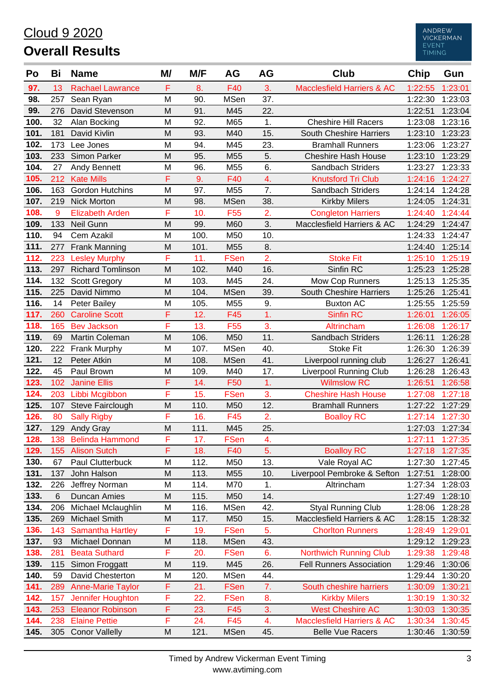## Cloud 9 2020 **Overall Results**

| Po   | Bi  | <b>Name</b>              | M/ | M/F  | AG              | AG             | <b>Club</b>                           | <b>Chip</b> | Gun             |
|------|-----|--------------------------|----|------|-----------------|----------------|---------------------------------------|-------------|-----------------|
| 97.  | 13  | <b>Rachael Lawrance</b>  | F  | 8.   | F40             | 3.             | <b>Macclesfield Harriers &amp; AC</b> | 1:22:55     | 1:23:01         |
| 98.  | 257 | Sean Ryan                | M  | 90.  | <b>MSen</b>     | 37.            |                                       | 1:22:30     | 1:23:03         |
| 99.  | 276 | David Stevenson          | M  | 91.  | M45             | 22.            |                                       | 1:22:51     | 1:23:04         |
| 100. | 32  | Alan Bocking             | M  | 92.  | M65             | 1.             | <b>Cheshire Hill Racers</b>           | 1:23:08     | 1:23:16         |
| 101. | 181 | David Kivlin             | M  | 93.  | M40             | 15.            | South Cheshire Harriers               | 1:23:10     | 1:23:23         |
| 102. | 173 | Lee Jones                | M  | 94.  | M45             | 23.            | <b>Bramhall Runners</b>               | 1:23:06     | 1:23:27         |
| 103. | 233 | Simon Parker             | M  | 95.  | M <sub>55</sub> | 5.             | <b>Cheshire Hash House</b>            | 1:23:10     | 1:23:29         |
| 104. | 27  | <b>Andy Bennett</b>      | M  | 96.  | M55             | 6.             | Sandbach Striders                     | 1:23:27     | 1:23:33         |
| 105. | 212 | <b>Kate Mills</b>        | F  | 9.   | F40             | 4.             | <b>Knutsford Tri Club</b>             | 1:24:16     | 1:24:27         |
| 106. | 163 | <b>Gordon Hutchins</b>   | M  | 97.  | M55             | 7.             | Sandbach Striders                     | 1:24:14     | 1:24:28         |
| 107. | 219 | <b>Nick Morton</b>       | M  | 98.  | <b>MSen</b>     | 38.            | <b>Kirkby Milers</b>                  | 1:24:05     | 1:24:31         |
| 108. | 9   | <b>Elizabeth Arden</b>   | F  | 10.  | F <sub>55</sub> | 2.             | <b>Congleton Harriers</b>             | 1:24:40     | 1:24:44         |
| 109. | 133 | Neil Gunn                | M  | 99.  | M60             | 3.             | Macclesfield Harriers & AC            | 1:24:29     | 1:24:47         |
| 110. | 94  | Cem Azakil               | M  | 100. | M50             | 10.            |                                       | 1:24:33     | 1:24:47         |
| 111. | 277 | <b>Frank Manning</b>     | M  | 101. | M55             | 8.             |                                       | 1:24:40     | 1:25:14         |
| 112. | 223 | <b>Lesley Murphy</b>     | F  | 11.  | <b>FSen</b>     | 2.             | <b>Stoke Fit</b>                      | 1:25:10     | 1:25:19         |
| 113. | 297 | <b>Richard Tomlinson</b> | M  | 102. | M40             | 16.            | Sinfin RC                             | 1:25:23     | 1:25:28         |
| 114. | 132 | <b>Scott Gregory</b>     | M  | 103. | M45             | 24.            | <b>Mow Cop Runners</b>                | 1:25:13     | 1:25:35         |
| 115. | 225 | David Nimmo              | M  | 104. | <b>MSen</b>     | 39.            | South Cheshire Harriers               | 1:25:26     | 1:25:41         |
| 116. | 14  | Peter Bailey             | M  | 105. | M55             | 9.             | <b>Buxton AC</b>                      | 1:25:55     | 1:25:59         |
| 117. | 260 | <b>Caroline Scott</b>    | F  | 12.  | F45             | 1 <sub>1</sub> | <b>Sinfin RC</b>                      | 1:26:01     | 1:26:05         |
| 118. | 165 | <b>Bev Jackson</b>       | F  | 13.  | F <sub>55</sub> | 3.             | Altrincham                            | 1:26:08     | 1:26:17         |
| 119. | 69  | <b>Martin Coleman</b>    | M  | 106. | M50             | 11.            | Sandbach Striders                     | 1:26:11     | 1:26:28         |
| 120. | 222 | Frank Murphy             | M  | 107. | <b>MSen</b>     | 40.            | <b>Stoke Fit</b>                      | 1:26:30     | 1:26:39         |
| 121. | 12  | Peter Atkin              | M  | 108. | <b>MSen</b>     | 41.            | Liverpool running club                | 1:26:27     | 1:26:41         |
| 122. | 45  | Paul Brown               | M  | 109. | M40             | 17.            | <b>Liverpool Running Club</b>         | 1:26:28     | 1:26:43         |
| 123. | 102 | <b>Janine Ellis</b>      | F  | 14.  | F <sub>50</sub> | 1.             | <b>Wilmslow RC</b>                    | 1:26:51     | 1:26:58         |
| 124. | 203 | Libbi Mcgibbon           | F  | 15.  | <b>FSen</b>     | 3.             | <b>Cheshire Hash House</b>            | 1:27:08     | 1:27:18         |
| 125. | 107 | Steve Fairclough         | M  | 110. | M50             | 12.            | <b>Bramhall Runners</b>               | 1:27:22     | 1:27:29         |
| 126. | 80  | <b>Sally Rigby</b>       | F  | 16.  | F45             | 2.             | <b>Boalloy RC</b>                     | 1:27:14     | 1:27:30         |
| 127. | 129 | <b>Andy Gray</b>         | M  | 111. | M45             | 25.            |                                       |             | 1:27:03 1:27:34 |
| 128. | 138 | <b>Belinda Hammond</b>   | F  | 17.  | <b>FSen</b>     | 4.             |                                       |             | 1:27:11 1:27:35 |
| 129. | 155 | <b>Alison Sutch</b>      | F  | 18.  | F40             | 5.             | <b>Boalloy RC</b>                     | 1:27:18     | 1:27:35         |
| 130. | 67  | Paul Clutterbuck         | M  | 112. | M50             | 13.            | Vale Royal AC                         | 1:27:30     | 1:27:45         |
| 131. | 137 | John Halson              | M  | 113. | M55             | 10.            | Liverpool Pembroke & Sefton           | 1:27:51     | 1:28:00         |
| 132. | 226 | Jeffrey Norman           | M  | 114. | M70             | 1.             | Altrincham                            | 1:27:34     | 1:28:03         |
| 133. | 6   | Duncan Amies             | M  | 115. | M50             | 14.            |                                       | 1:27:49     | 1:28:10         |
| 134. | 206 | Michael Mclaughlin       | M  | 116. | <b>MSen</b>     | 42.            | <b>Styal Running Club</b>             | 1:28:06     | 1:28:28         |
| 135. | 269 | Michael Smith            | M  | 117. | M50             | 15.            | Macclesfield Harriers & AC            | 1:28:15     | 1:28:32         |
| 136. | 143 | <b>Samantha Hartley</b>  | F  | 19.  | <b>FSen</b>     | 5.             | <b>Chorlton Runners</b>               | 1:28:49     | 1:29:01         |
| 137. | 93  | Michael Donnan           | M  | 118. | <b>MSen</b>     | 43.            |                                       | 1:29:12     | 1:29:23         |
| 138. | 281 | <b>Beata Suthard</b>     | F  | 20.  | <b>FSen</b>     | 6.             | <b>Northwich Running Club</b>         | 1:29:38     | 1:29:48         |
| 139. | 115 | Simon Froggatt           | M  | 119. | M45             | 26.            | <b>Fell Runners Association</b>       | 1:29:46     | 1:30:06         |
| 140. | 59  | David Chesterton         | M  | 120. | MSen            | 44.            |                                       | 1:29:44     | 1:30:20         |
| 141. | 289 | <b>Anne-Marie Taylor</b> | F  | 21.  | <b>FSen</b>     | 7.             | South cheshire harriers               | 1:30:09     | 1:30:21         |
| 142. | 157 | Jennifer Houghton        | F  | 22.  | <b>FSen</b>     | 8.             | <b>Kirkby Milers</b>                  | 1:30:19     | 1:30:32         |
| 143. | 253 | <b>Eleanor Robinson</b>  | F  | 23.  | F45             | 3.             | <b>West Cheshire AC</b>               | 1:30:03     | 1:30:35         |
| 144. | 238 | <b>Elaine Pettie</b>     | F  | 24.  | F45             | 4.             | <b>Macclesfield Harriers &amp; AC</b> | 1:30:34     | 1:30:45         |
| 145. | 305 | <b>Conor Vallelly</b>    | M  | 121. | <b>MSen</b>     | 45.            | <b>Belle Vue Racers</b>               | 1:30:46     | 1:30:59         |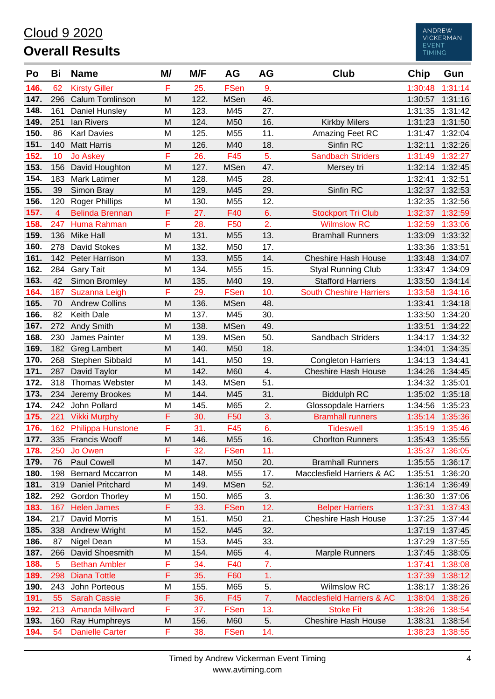#### Cloud 9 2020 **Overall Results**

| Po   | Bi             | <b>Name</b>             | M/ | M/F  | <b>AG</b>   | AG  | <b>Club</b>                           | Chip    | Gun     |
|------|----------------|-------------------------|----|------|-------------|-----|---------------------------------------|---------|---------|
| 146. | 62             | <b>Kirsty Giller</b>    | F  | 25.  | <b>FSen</b> | 9.  |                                       | 1:30:48 | 1:31:14 |
| 147. | 296            | <b>Calum Tomlinson</b>  | M  | 122. | <b>MSen</b> | 46. |                                       | 1:30:57 | 1:31:16 |
| 148. | 161            | Daniel Hunsley          | M  | 123. | M45         | 27. |                                       | 1:31:35 | 1:31:42 |
| 149. | 251            | lan Rivers              | M  | 124. | M50         | 16. | <b>Kirkby Milers</b>                  | 1:31:23 | 1:31:50 |
| 150. | 86             | <b>Karl Davies</b>      | M  | 125. | M55         | 11. | Amazing Feet RC                       | 1:31:47 | 1:32:04 |
| 151. | 140            | <b>Matt Harris</b>      | M  | 126. | M40         | 18. | Sinfin RC                             | 1:32:11 | 1:32:26 |
| 152. | 10             | <b>Jo Askey</b>         | F  | 26.  | F45         | 5.  | <b>Sandbach Striders</b>              | 1:31:49 | 1:32:27 |
| 153. | 156            | David Houghton          | M  | 127. | <b>MSen</b> | 47. | Mersey tri                            | 1:32:14 | 1:32:45 |
| 154. | 183            | Mark Latimer            | M  | 128. | M45         | 28. |                                       | 1:32:41 | 1:32:51 |
| 155. | 39             | Simon Bray              | M  | 129. | M45         | 29. | Sinfin RC                             | 1:32:37 | 1:32:53 |
| 156. | 120            | <b>Roger Phillips</b>   | M  | 130. | M55         | 12. |                                       | 1:32:35 | 1:32:56 |
| 157. | $\overline{4}$ | <b>Belinda Brennan</b>  | F  | 27.  | F40         | 6.  | <b>Stockport Tri Club</b>             | 1:32:37 | 1:32:59 |
| 158. | 247            | Huma Rahman             | F  | 28.  | F50         | 2.  | <b>Wilmslow RC</b>                    | 1:32:59 | 1:33:06 |
| 159. | 136            | <b>Mike Hall</b>        | M  | 131. | M55         | 13. | <b>Bramhall Runners</b>               | 1:33:09 | 1:33:32 |
| 160. | 278            | David Stokes            | M  | 132. | M50         | 17. |                                       | 1:33:36 | 1:33:51 |
| 161. | 142            | Peter Harrison          | M  | 133. | M55         | 14. | <b>Cheshire Hash House</b>            | 1:33:48 | 1:34:07 |
| 162. | 284            | <b>Gary Tait</b>        | M  | 134. | M55         | 15. | <b>Styal Running Club</b>             | 1:33:47 | 1:34:09 |
| 163. | 42             | Simon Bromley           | M  | 135. | M40         | 19. | <b>Stafford Harriers</b>              | 1:33:50 | 1:34:14 |
| 164. | 187            | Suzanna Leigh           | F  | 29.  | <b>FSen</b> | 10. | <b>South Cheshire Harriers</b>        | 1:33:58 | 1:34:16 |
| 165. | 70             | <b>Andrew Collins</b>   | M  | 136. | <b>MSen</b> | 48. |                                       | 1:33:41 | 1:34:18 |
| 166. | 82             | Keith Dale              | M  | 137. | M45         | 30. |                                       | 1:33:50 | 1:34:20 |
| 167. | 272            | Andy Smith              | M  | 138. | <b>MSen</b> | 49. |                                       | 1:33:51 | 1:34:22 |
| 168. | 230            | James Painter           | M  | 139. | <b>MSen</b> | 50. | Sandbach Striders                     | 1:34:17 | 1:34:32 |
| 169. | 182            | <b>Greg Lambert</b>     | M  | 140. | M50         | 18. |                                       | 1:34:01 | 1:34:35 |
| 170. | 268            | Stephen Sibbald         | M  | 141. | M50         | 19. | <b>Congleton Harriers</b>             | 1:34:13 | 1:34:41 |
| 171. | 287            | David Taylor            | M  | 142. | M60         | 4.  | <b>Cheshire Hash House</b>            | 1:34:26 | 1:34:45 |
| 172. | 318            | Thomas Webster          | M  | 143. | <b>MSen</b> | 51. |                                       | 1:34:32 | 1:35:01 |
| 173. | 234            | Jeremy Brookes          | M  | 144. | M45         | 31. | <b>Biddulph RC</b>                    | 1:35:02 | 1:35:18 |
| 174. | 242            | John Pollard            | M  | 145. | M65         | 2.  | <b>Glossopdale Harriers</b>           | 1:34:56 | 1:35:23 |
| 175. | 221            | <b>Vikki Murphy</b>     | F  | 30.  | F50         | 3.  | <b>Bramhall runners</b>               | 1:35:14 | 1:35:36 |
| 176. |                | 162 Philippa Hunstone   | F  | 31.  | F45         | 6.  | <b>Tideswell</b>                      | 1:35:19 | 1:35:46 |
| 177. |                | 335 Francis Wooff       | M  | 146. | M55         | 16. | <b>Chorlton Runners</b>               | 1:35:43 | 1:35:55 |
| 178. | 250            | Jo Owen                 | F  | 32.  | <b>FSen</b> | 11. |                                       | 1:35:37 | 1:36:05 |
| 179. | 76             | <b>Paul Cowell</b>      | M  | 147. | M50         | 20. | <b>Bramhall Runners</b>               | 1:35:55 | 1:36:17 |
| 180. | 198            | <b>Bernard Mccarron</b> | M  | 148. | M55         | 17. | Macclesfield Harriers & AC            | 1:35:51 | 1:36:20 |
| 181. | 319            | Daniel Pritchard        | M  | 149. | <b>MSen</b> | 52. |                                       | 1:36:14 | 1:36:49 |
| 182. | 292            | Gordon Thorley          | M  | 150. | M65         | 3.  |                                       | 1:36:30 | 1:37:06 |
| 183. | 167            | <b>Helen James</b>      | F  | 33.  | <b>FSen</b> | 12. | <b>Belper Harriers</b>                | 1:37:31 | 1:37:43 |
| 184. | 217            | David Morris            | M  | 151. | M50         | 21. | <b>Cheshire Hash House</b>            | 1:37:25 | 1:37:44 |
| 185. | 338            | Andrew Wright           | M  | 152. | M45         | 32. |                                       | 1:37:19 | 1:37:45 |
| 186. | 87             | Nigel Dean              | M  | 153. | M45         | 33. |                                       | 1:37:29 | 1:37:55 |
| 187. | 266            | David Shoesmith         | M  | 154. | M65         | 4.  | <b>Marple Runners</b>                 | 1:37:45 | 1:38:05 |
| 188. | 5              | <b>Bethan Ambler</b>    | F  | 34.  | F40         | 7.  |                                       | 1:37:41 | 1:38:08 |
| 189. | 298            | <b>Diana Tottle</b>     | F  | 35.  | F60         | 1.  |                                       | 1:37:39 | 1:38:12 |
| 190. | 243            | John Porteous           | M  | 155. | M65         | 5.  | <b>Wilmslow RC</b>                    | 1:38:17 | 1:38:26 |
| 191. | 55             | <b>Sarah Cassie</b>     | F  | 36.  | F45         | 7.  | <b>Macclesfield Harriers &amp; AC</b> | 1:38:04 | 1:38:26 |
| 192. | 213            | <b>Amanda Millward</b>  | F  | 37.  | <b>FSen</b> | 13. | <b>Stoke Fit</b>                      | 1:38:26 | 1:38:54 |
| 193. | 160            | Ray Humphreys           | M  | 156. | M60         | 5.  | <b>Cheshire Hash House</b>            | 1:38:31 | 1:38:54 |
| 194. | 54             | <b>Danielle Carter</b>  | F  | 38.  | FSen        | 14. |                                       | 1:38:23 | 1:38:55 |

ANDREW<br>VICKERMAN<br>EVENT<br>TIMING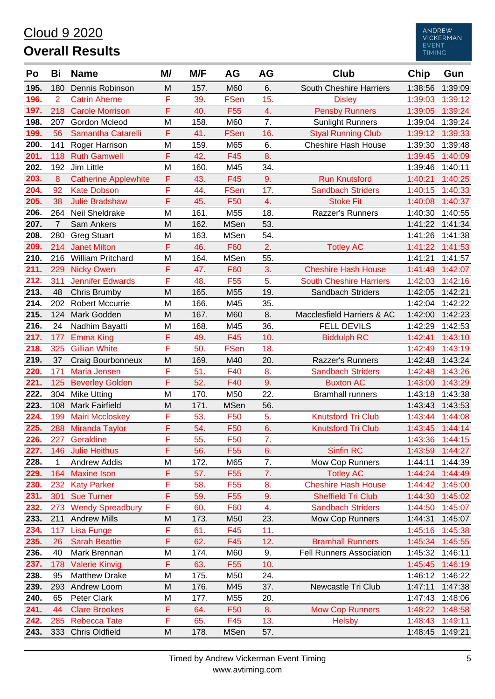# Cloud 9 2020

# **Overall Results**



| Po           | Bi             | <b>Name</b>                              | M/     | M/F        | AG                                 | AG               | <b>Club</b>                                    | Chip    | Gun                        |
|--------------|----------------|------------------------------------------|--------|------------|------------------------------------|------------------|------------------------------------------------|---------|----------------------------|
| 195.         | 180            | Dennis Robinson                          | M      | 157.       | M60                                | 6.               | South Cheshire Harriers                        | 1:38:56 | 1:39:09                    |
| 196.         | $\overline{2}$ | <b>Catrin Aherne</b>                     | F      | 39.        | <b>FSen</b>                        | 15.              | <b>Disley</b>                                  | 1:39:03 | 1:39:12                    |
| 197.         | 218            | <b>Carole Morrison</b>                   | F      | 40.        | F <sub>55</sub>                    | 4.               | <b>Pensby Runners</b>                          | 1:39:05 | 1:39:24                    |
| 198.         | 207            | <b>Gordon Mcleod</b>                     | M      | 158.       | M60                                | 7.               | <b>Sunlight Runners</b>                        | 1:39:04 | 1:39:24                    |
| 199.         | 56             | Samantha Catarelli                       | F      | 41.        | <b>FSen</b>                        | 16.              | <b>Styal Running Club</b>                      | 1:39:12 | 1:39:33                    |
| 200.         | 141            | Roger Harrison                           | M      | 159.       | M65                                | 6.               | <b>Cheshire Hash House</b>                     | 1:39:30 | 1:39:48                    |
| 201.         | 118            | <b>Ruth Gamwell</b>                      | F      | 42.        | F45                                | 8.               |                                                | 1:39:45 | 1:40:09                    |
| 202.         | 192            | Jim Little                               | M      | 160.       | M45                                | 34.              |                                                | 1:39:46 | 1:40:11                    |
| 203.         | 8              | <b>Catherine Applewhite</b>              | F      | 43.        | F45                                | 9.               | <b>Run Knutsford</b>                           | 1:40:21 | 1:40:25                    |
| 204.         | 92             | <b>Kate Dobson</b>                       | F      | 44.        | <b>FSen</b>                        | 17.              | <b>Sandbach Striders</b>                       | 1:40:15 | 1:40:33                    |
| 205.         | 38             | <b>Julie Bradshaw</b>                    | F      | 45.        | F50                                | 4.               | <b>Stoke Fit</b>                               | 1:40:08 | 1:40:37                    |
| 206.         | 264            | Neil Sheldrake                           | M      | 161.       | M55                                | 18.              | Razzer's Runners                               | 1:40:30 | 1:40:55                    |
| 207.         | $\overline{7}$ | Sam Ankers                               | M      | 162.       | <b>MSen</b>                        | 53.              |                                                | 1:41:22 | 1:41:34                    |
| 208.         | 280            | <b>Greg Stuart</b>                       | M      | 163.       | <b>MSen</b>                        | 54.              |                                                | 1:41:26 | 1:41:38                    |
| 209.         | 214            | <b>Janet Milton</b>                      | F      | 46.        | F60                                | $\overline{2}$ . | <b>Totley AC</b>                               | 1:41:22 | 1:41:53                    |
| 210.         | 216            | <b>William Pritchard</b>                 | M      | 164.       | MSen                               | 55.              |                                                | 1:41:21 | 1:41:57                    |
| 211.         | 229            | <b>Nicky Owen</b>                        | F      | 47.        | F60                                | 3.               | <b>Cheshire Hash House</b>                     | 1:41:49 | 1:42:07                    |
| 212.         | 311            | <b>Jennifer Edwards</b>                  | F      | 48.        | F <sub>55</sub>                    | 5.               | <b>South Cheshire Harriers</b>                 | 1:42:03 | 1:42:16                    |
| 213.         | 48             | Chris Brumby                             | M      | 165.       | M55                                | 19.              | Sandbach Striders                              | 1:42:05 | 1:42:21                    |
| 214.         | 202            | <b>Robert Mccurrie</b>                   | M      | 166.       | M45                                | 35.              |                                                | 1:42:04 | 1:42:22                    |
| 215.         | 124            | Mark Godden                              | M      | 167.       | M60                                | 8.               | Macclesfield Harriers & AC                     | 1:42:00 | 1:42:23                    |
| 216.         | 24             | Nadhim Bayatti                           | M      | 168.       | M45                                | 36.              | <b>FELL DEVILS</b>                             | 1:42:29 | 1:42:53                    |
| 217.         | 177            | <b>Emma King</b>                         | F      | 49.        | F45                                | 10.              | <b>Biddulph RC</b>                             | 1:42:41 | 1:43:10                    |
| 218.         | 325            | <b>Gillian White</b>                     | F      | 50.        | <b>FSen</b>                        | 18.              |                                                | 1:42:49 | 1:43:19                    |
| 219.         | 37             | Craig Bourbonneux                        | M      | 169.       | M40                                | 20.              | Razzer's Runners                               | 1:42:48 | 1:43:24                    |
| 220.         | 171            | Maria Jensen                             | F      | 51.        | F40                                | 8.               | <b>Sandbach Striders</b>                       | 1:42:48 | 1:43:26                    |
| 221.         | 125            | <b>Beverley Golden</b>                   | F      | 52.        | F40                                | 9.               | <b>Buxton AC</b>                               | 1:43:00 | 1:43:29                    |
| 222.         | 304            | <b>Mike Utting</b>                       | M      | 170.       | M50                                | 22.              | <b>Bramhall runners</b>                        | 1:43:18 | 1:43:38                    |
| 223.         | 108            | <b>Mark Fairfield</b>                    | M      | 171.       | <b>MSen</b>                        | 56.              |                                                | 1:43:43 | 1:43:53                    |
| 224.         | 199            | <b>Mairi Mccloskey</b>                   | F      | 53.        | F50                                | 5.               | <b>Knutsford Tri Club</b>                      | 1:43:44 | 1:44:08                    |
| 225.         |                | 288 Miranda Taylor                       | F      | 54.        | F50                                | 6.               | <b>Knutsford Tri Club</b>                      |         | 1:43:45 1:44:14            |
| 226.         |                | 227 Geraldine                            | F      | 55.        | <b>F50</b>                         | 7.               |                                                |         | 1:43:36 1:44:15            |
| 227.         |                | 146 Julie Heithus                        | F      | 56.        | F <sub>55</sub>                    | 6.               | <b>Sinfin RC</b>                               |         | 1:43:59 1:44:27            |
| 228.         | 1              | Andrew Addis                             | M<br>F | 172.       | M65                                | 7.<br>7.         | Mow Cop Runners                                | 1:44:11 | 1:44:39                    |
| 229.<br>230. | 164<br>232     | <b>Maxine Ison</b><br><b>Katy Parker</b> | F      | 57.<br>58. | F <sub>55</sub><br>F <sub>55</sub> | 8.               | <b>Totley AC</b><br><b>Cheshire Hash House</b> | 1:44:42 | 1:44:24 1:44:49<br>1:45:00 |
| 231.         | 301            | <b>Sue Turner</b>                        | F      | 59.        | F <sub>55</sub>                    | 9.               | <b>Sheffield Tri Club</b>                      | 1:44:30 | 1:45:02                    |
| 232.         | 273            | <b>Wendy Spreadbury</b>                  | F      | 60.        | F60                                | 4.               | <b>Sandbach Striders</b>                       | 1:44:50 | 1:45:07                    |
| 233.         | 211            | <b>Andrew Mills</b>                      | M      | 173.       | M50                                | 23.              | Mow Cop Runners                                | 1:44:31 | 1:45:07                    |
| 234.         | 117            | <b>Lisa Funge</b>                        | F      | 61.        | F45                                | 11.              |                                                | 1:45:16 | 1:45:38                    |
| 235.         | 26             | <b>Sarah Beattie</b>                     | F      | 62.        | F45                                | 12.              | <b>Bramhall Runners</b>                        |         | 1:45:34 1:45:55            |
| 236.         | 40             | Mark Brennan                             | M      | 174.       | M60                                | 9.               | <b>Fell Runners Association</b>                | 1:45:32 | 1:46:11                    |
| 237.         | 178            | <b>Valerie Kinvig</b>                    | F      | 63.        | F <sub>55</sub>                    | 10.              |                                                | 1:45:45 | 1:46:19                    |
| 238.         | 95             | <b>Matthew Drake</b>                     | M      | 175.       | M50                                | 24.              |                                                | 1:46:12 | 1:46:22                    |
| 239.         | 293            | Andrew Loom                              | M      | 176.       | M45                                | 37.              | Newcastle Tri Club                             | 1:47:11 | 1:47:38                    |
| 240.         | 65             | Peter Clark                              | M      | 177.       | M55                                | 20.              |                                                | 1:47:43 | 1:48:06                    |
| 241.         | 44             | <b>Clare Brookes</b>                     | F      | 64.        | F <sub>50</sub>                    | 8.               | <b>Mow Cop Runners</b>                         |         | 1:48:22 1:48:58            |
| 242.         | 285            | <b>Rebecca Tate</b>                      | F      | 65.        | F45                                | 13.              | <b>Helsby</b>                                  | 1:48:43 | 1:49:11                    |
| 243.         |                | 333 Chris Oldfield                       | M      | 178.       | <b>MSen</b>                        | 57.              |                                                | 1:48:45 | 1:49:21                    |
|              |                |                                          |        |            |                                    |                  |                                                |         |                            |